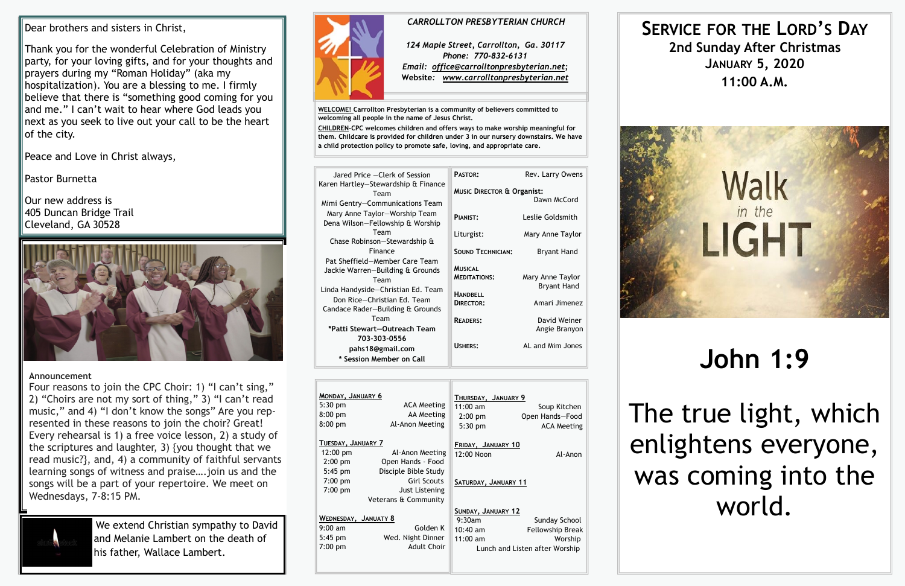| MONDAY, JANUARY 6<br>$5:30$ pm<br>$8:00$ pm<br>$8:00$ pm            | <b>ACA Meeting</b><br>AA Meeting<br>Al-Anon Meeting          | THURSDAY, JANUARY 9<br>$11:00$ am<br>$2:00$ pm<br>$5:30$ pm | Soup Kitchen<br>Open Hands-Food<br><b>ACA Meeting</b>                          |
|---------------------------------------------------------------------|--------------------------------------------------------------|-------------------------------------------------------------|--------------------------------------------------------------------------------|
| TUESDAY, JANUARY 7<br>12:00 pm<br>$2:00$ pm<br>$5:45$ pm            | Al-Anon Meeting<br>Open Hands - Food<br>Disciple Bible Study | FRIDAY, JANUARY 10<br>12:00 Noon                            | Al-Anon                                                                        |
| $7:00 \text{ pm}$<br>$7:00$ pm<br>Veterans & Community              | <b>Girl Scouts</b><br>Just Listening                         | SATURDAY, JANUARY 11                                        |                                                                                |
| WEDNESDAY, JANUATY 8<br>$9:00 \text{ am}$<br>$5:45$ pm<br>$7:00$ pm | Golden K<br>Wed. Night Dinner<br><b>Adult Choir</b>          | SUNDAY, JANUARY 12<br>9:30am<br>$10:40$ am<br>$11:00$ am    | Sunday School<br>Fellowship Break<br>Worship<br>Lunch and Listen after Worship |

**WELCOME! Carrollton Presbyterian is a community of believers committed to welcoming all people in the name of Jesus Christ.**

**CHILDREN-CPC welcomes children and offers ways to make worship meaningful for them. Childcare is provided for children under 3 in our nursery downstairs. We have a child protection policy to promote safe, loving, and appropriate care.** 

 $\overline{\phantom{a}}$ Our new address is 405 Duncan Bridge Trail Cleveland, GA 30528



| Jared Price - Clerk of Session                                                                                                                                                      | PASTOR:                                              | Rev. Larry Owens                       |
|-------------------------------------------------------------------------------------------------------------------------------------------------------------------------------------|------------------------------------------------------|----------------------------------------|
| Karen Hartley-Stewardship & Finance<br>Team<br>Mimi Gentry-Communications Team                                                                                                      | <b>MUSIC DIRECTOR &amp; Organist:</b><br>Dawn McCord |                                        |
| Mary Anne Taylor-Worship Team<br>Dena Wilson-Fellowship & Worship                                                                                                                   | PIANIST:                                             | Leslie Goldsmith                       |
| Team<br>Chase Robinson-Stewardship &                                                                                                                                                | Liturgist:                                           | Mary Anne Taylor                       |
| Finance                                                                                                                                                                             | <b>SOUND TECHNICIAN:</b>                             | Bryant Hand                            |
| Pat Sheffield-Member Care Team<br>Jackie Warren-Building & Grounds<br>Team<br>Linda Handyside-Christian Ed. Team<br>Don Rice-Christian Ed. Team<br>Candace Rader-Building & Grounds | <b>MUSICAL</b><br><b>MEDITATIONS:</b>                | Mary Anne Taylor<br><b>Bryant Hand</b> |
|                                                                                                                                                                                     | <b>HANDBELL</b><br>DIRECTOR:                         | Amari Jimenez                          |
| Team                                                                                                                                                                                | <b>READERS:</b>                                      | David Weiner                           |
| *Patti Stewart-Outreach Team                                                                                                                                                        |                                                      | Angie Branyon                          |
| 703-303-0556<br>pahs18@gmail.com<br>* Session Member on Call                                                                                                                        | USHERS:                                              | AL and Mim Jones                       |

**SERVICE FOR THE LORD'S DAY 2nd Sunday After Christmas JANUARY 5, 2020 11:00 A.M.**



# **John 1:9**

The true light, which enlightens everyone, was coming into the world.

#### *CARROLLTON PRESBYTERIAN CHURCH*

*124 Maple Street, Carrollton, Ga. 30117 Phone: 770-832-6131 Email: office@carrolltonpresbyterian.net;* **Website***: www.carrolltonpresbyterian.net*

Dear brothers and sisters in Christ,

Thank you for the wonderful Celebration of Ministry party, for your loving gifts, and for your thoughts and prayers during my "Roman Holiday" (aka my hospitalization). You are a blessing to me. I firmly believe that there is "something good coming for you and me." I can't wait to hear where God leads you next as you seek to live out your call to be the heart of the city.

Peace and Love in Christ always,

Pastor Burnetta

#### **Announcement**

Four reasons to join the CPC Choir: 1) "I can't sing," 2) "Choirs are not my sort of thing," 3) "I can't read music," and 4) "I don't know the songs" Are you represented in these reasons to join the choir? Great! Every rehearsal is 1) a free voice lesson, 2) a study of the scriptures and laughter, 3) {you thought that we read music?}, and, 4) a community of faithful servants learning songs of witness and praise….join us and the songs will be a part of your repertoire. We meet on Wednesdays, 7-8:15 PM.



We extend Christian sympathy to David and Melanie Lambert on the death of his father, Wallace Lambert.